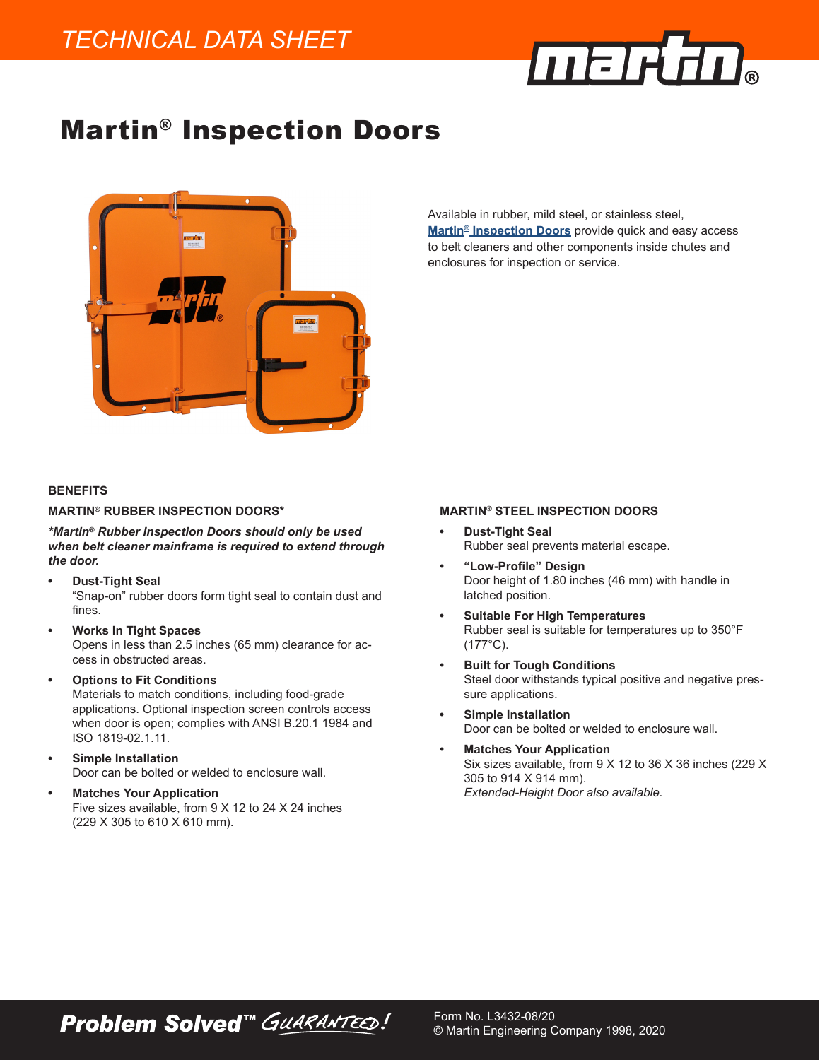

# Martin® Inspection Doors



#### **BENEFITS**

#### **MARTIN® RUBBER INSPECTION DOORS\***

*\*Martin® Rubber Inspection Doors should only be used when belt cleaner mainframe is required to extend through the door.*

- **• Dust-Tight Seal** "Snap-on" rubber doors form tight seal to contain dust and fines.
- **• Works In Tight Spaces** Opens in less than 2.5 inches (65 mm) clearance for access in obstructed areas.
- **• Options to Fit Conditions** Materials to match conditions, including food-grade applications. Optional inspection screen controls access when door is open; complies with ANSI B.20.1 1984 and ISO 1819-02.1.11.
- **• Simple Installation** Door can be bolted or welded to enclosure wall.
- **• Matches Your Application** Five sizes available, from 9 X 12 to 24 X 24 inches (229 X 305 to 610 X 610 mm).

**Problem Solved™ GUARANTEED!** 

Available in rubber, mild steel, or stainless steel, **[Martin® Inspection Doors](https://www.martin-eng.com/content/product/95/inspection-door)** provide quick and easy access to belt cleaners and other components inside chutes and enclosures for inspection or service.

#### **MARTIN® STEEL INSPECTION DOORS**

- **• Dust-Tight Seal** Rubber seal prevents material escape.
- **• "Low-Profile" Design** Door height of 1.80 inches (46 mm) with handle in latched position.
- **• Suitable For High Temperatures** Rubber seal is suitable for temperatures up to 350°F (177°C).
- **• Built for Tough Conditions** Steel door withstands typical positive and negative pressure applications.
- **• Simple Installation** Door can be bolted or welded to enclosure wall.

Form No. L3432-08/20

© Martin Engineering Company 1998, 2020

**• Matches Your Application** Six sizes available, from 9 X 12 to 36 X 36 inches (229 X 305 to 914 X 914 mm). *Extended-Height Door also available.*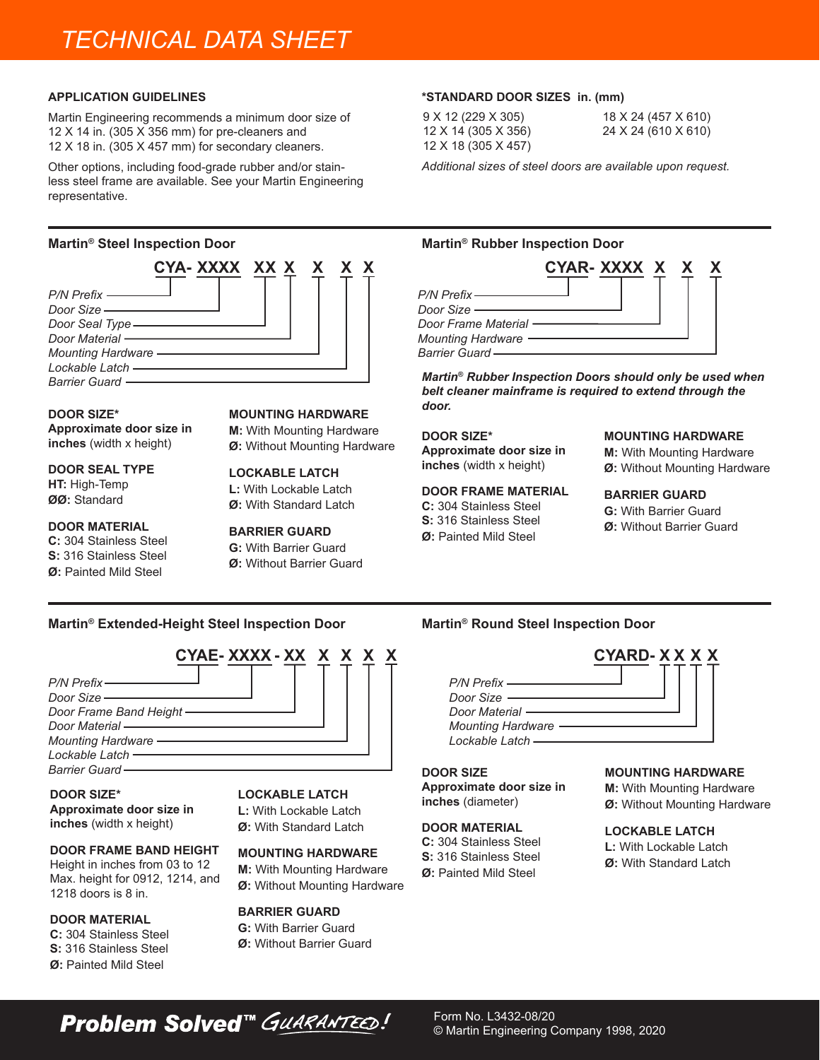# *TECHNICAL DATA SHEET*

#### **APPLICATION GUIDELINES**

Martin Engineering recommends a minimum door size of 12 X 14 in. (305 X 356 mm) for pre-cleaners and 12 X 18 in. (305 X 457 mm) for secondary cleaners.

Other options, including food-grade rubber and/or stainless steel frame are available. See your Martin Engineering representative.



**DOOR SIZE\* Approximate door size in inches** (width x height)

**DOOR SEAL TYPE HT:** High-Temp **ØØ:** Standard

# **DOOR MATERIAL**

**C:** 304 Stainless Steel **S:** 316 Stainless Steel **Ø:** Painted Mild Steel

**MOUNTING HARDWARE**

**M:** With Mounting Hardware **Ø:** Without Mounting Hardware

#### **LOCKABLE LATCH**

**L:** With Lockable Latch **Ø:** With Standard Latch

# **BARRIER GUARD**

**G:** With Barrier Guard **Ø:** Without Barrier Guard

# **Martin® Extended-Height Steel Inspection Door Martin® Round Steel Inspection Door**



# **DOOR SIZE\***

**Approximate door size in inches** (width x height)

### **DOOR FRAME BAND HEIGHT**

Height in inches from 03 to 12 Max. height for 0912, 1214, and 1218 doors is 8 in.

# **DOOR MATERIAL**

- **C:** 304 Stainless Steel **S:** 316 Stainless Steel
- **Ø:** Painted Mild Steel

## **LOCKABLE LATCH**

**L:** With Lockable Latch

**Ø:** With Standard Latch

## **MOUNTING HARDWARE**

**M:** With Mounting Hardware **Ø:** Without Mounting Hardware

## **BARRIER GUARD**

**G:** With Barrier Guard

**Ø:** Without Barrier Guard

### **\*STANDARD DOOR SIZES in. (mm)**

9 X 12 (229 X 305) 12 X 14 (305 X 356) 12 X 18 (305 X 457) 18 X 24 (457 X 610) 24 X 24 (610 X 610)

*Additional sizes of steel doors are available upon request.*

# **Martin® Steel Inspection Door Martin® Rubber Inspection Door**



*Martin® Rubber Inspection Doors should only be used when belt cleaner mainframe is required to extend through the door.*

# **DOOR SIZE\***

**Approximate door size in inches** (width x height)

### **DOOR FRAME MATERIAL**

**C:** 304 Stainless Steel **S:** 316 Stainless Steel **Ø:** Painted Mild Steel

#### **MOUNTING HARDWARE**

**M:** With Mounting Hardware **Ø:** Without Mounting Hardware

# **BARRIER GUARD**

**G:** With Barrier Guard

**Ø:** Without Barrier Guard



#### **DOOR SIZE**

**Approximate door size in inches** (diameter)

#### **DOOR MATERIAL**

**C:** 304 Stainless Steel **S:** 316 Stainless Steel **Ø:** Painted Mild Steel

#### **MOUNTING HARDWARE**

**M:** With Mounting Hardware **Ø:** Without Mounting Hardware

#### **LOCKABLE LATCH**

**L:** With Lockable Latch **Ø:** With Standard Latch

**Problem Solved™ GUARANTEED!**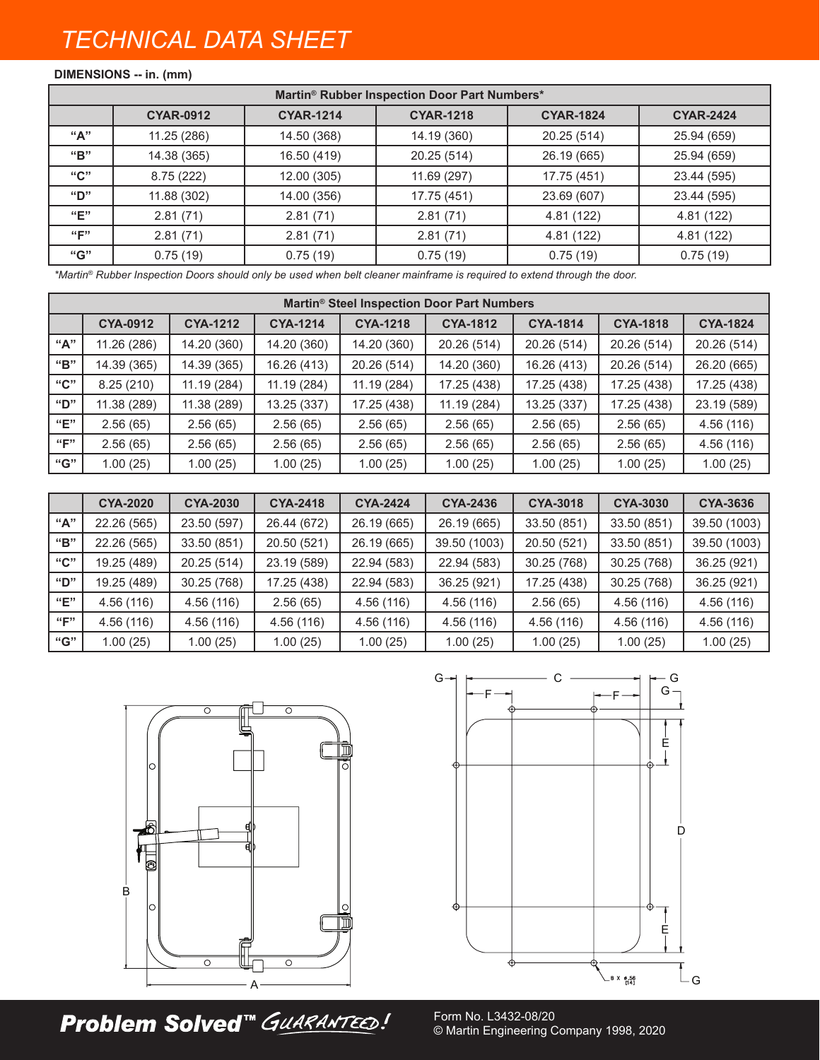# *TECHNICAL DATA SHEET*

# **DIMENSIONS -- in. (mm)**

| Martin® Rubber Inspection Door Part Numbers* |                  |                  |                  |                  |                  |  |
|----------------------------------------------|------------------|------------------|------------------|------------------|------------------|--|
|                                              | <b>CYAR-0912</b> | <b>CYAR-1214</b> | <b>CYAR-1218</b> | <b>CYAR-1824</b> | <b>CYAR-2424</b> |  |
| "А"                                          | 11.25 (286)      | 14.50 (368)      | 14.19 (360)      | 20.25 (514)      | 25.94 (659)      |  |
| "B"                                          | 14.38 (365)      | 16.50 (419)      | 20.25 (514)      | 26.19 (665)      | 25.94 (659)      |  |
| "C"                                          | 8.75(222)        | 12.00 (305)      | 11.69 (297)      | 17.75 (451)      | 23.44 (595)      |  |
| "D"                                          | 11.88 (302)      | 14.00 (356)      | 17.75 (451)      | 23.69 (607)      | 23.44 (595)      |  |
| "E"                                          | 2.81(71)         | 2.81(71)         | 2.81(71)         | 4.81 (122)       | 4.81 (122)       |  |
| "F"                                          | 2.81(71)         | 2.81(71)         | 2.81(71)         | 4.81 (122)       | 4.81 (122)       |  |
| "G"                                          | 0.75(19)         | 0.75(19)         | 0.75(19)         | 0.75(19)         | 0.75(19)         |  |

*\*Martin® Rubber Inspection Doors should only be used when belt cleaner mainframe is required to extend through the door.*

| Martin <sup>®</sup> Steel Inspection Door Part Numbers |                 |                 |                 |                 |                 |                 |                 |                 |
|--------------------------------------------------------|-----------------|-----------------|-----------------|-----------------|-----------------|-----------------|-----------------|-----------------|
|                                                        | <b>CYA-0912</b> | <b>CYA-1212</b> | <b>CYA-1214</b> | <b>CYA-1218</b> | <b>CYA-1812</b> | <b>CYA-1814</b> | <b>CYA-1818</b> | <b>CYA-1824</b> |
| "А"                                                    | 11.26 (286)     | 14.20 (360)     | 14.20 (360)     | 14.20 (360)     | 20.26 (514)     | 20.26 (514)     | 20.26 (514)     | 20.26 (514)     |
| "B"                                                    | 14.39 (365)     | 14.39 (365)     | 16.26 (413)     | 20.26 (514)     | 14.20 (360)     | 16.26 (413)     | 20.26 (514)     | 26.20 (665)     |
| "C"                                                    | 8.25(210)       | 11.19 (284)     | 11.19 (284)     | 11.19 (284)     | 17.25 (438)     | 17.25 (438)     | 17.25 (438)     | 17.25 (438)     |
| "D"                                                    | 11.38 (289)     | 11.38 (289)     | 13.25 (337)     | 17.25 (438)     | 11.19 (284)     | 13.25 (337)     | 17.25 (438)     | 23.19 (589)     |
| "E"                                                    | 2.56(65)        | 2.56(65)        | 2.56(65)        | 2.56(65)        | 2.56(65)        | 2.56(65)        | 2.56(65)        | 4.56 (116)      |
| ``F"                                                   | 2.56(65)        | 2.56(65)        | 2.56(65)        | 2.56(65)        | 2.56(65)        | 2.56(65)        | 2.56(65)        | 4.56 (116)      |
| "G"                                                    | 1.00(25)        | 1.00(25)        | 1.00(25)        | 1.00(25)        | 1.00(25)        | 1.00(25)        | 1.00(25)        | 1.00(25)        |

|      | <b>CYA-2020</b> | <b>CYA-2030</b> | <b>CYA-2418</b> | <b>CYA-2424</b> | <b>CYA-2436</b> | <b>CYA-3018</b> | <b>CYA-3030</b> | CYA-3636     |
|------|-----------------|-----------------|-----------------|-----------------|-----------------|-----------------|-----------------|--------------|
| "А"  | 22.26 (565)     | 23.50 (597)     | 26.44 (672)     | 26.19 (665)     | 26.19 (665)     | 33.50 (851)     | 33.50 (851)     | 39.50 (1003) |
| "B"  | 22.26 (565)     | 33.50 (851)     | 20.50 (521)     | 26.19 (665)     | 39.50 (1003)    | 20.50 (521)     | 33.50 (851)     | 39.50 (1003) |
| "C"  | 19.25 (489)     | 20.25 (514)     | 23.19 (589)     | 22.94 (583)     | 22.94 (583)     | 30.25 (768)     | 30.25 (768)     | 36.25 (921)  |
| "D"  | 19.25 (489)     | 30.25 (768)     | 17.25 (438)     | 22.94 (583)     | 36.25 (921)     | 17.25 (438)     | 30.25 (768)     | 36.25 (921)  |
| "E"  | 4.56 (116)      | 4.56 (116)      | 2.56(65)        | 4.56 (116)      | 4.56 (116)      | 2.56(65)        | 4.56 (116)      | 4.56 (116)   |
| ``F" | 4.56(116)       | 4.56 (116)      | 4.56 (116)      | 4.56 (116)      | 4.56 (116)      | 4.56 (116)      | 4.56 (116)      | 4.56(116)    |
| "G"  | 1.00(25)        | 1.00(25)        | 1.00(25)        | 1.00(25)        | 1.00(25)        | 1.00(25)        | 1.00(25)        | 1.00(25)     |



**Problem Solved™ GUARANTEED!** 



Form No. L3432-08/20 © Martin Engineering Company 1998, 2020